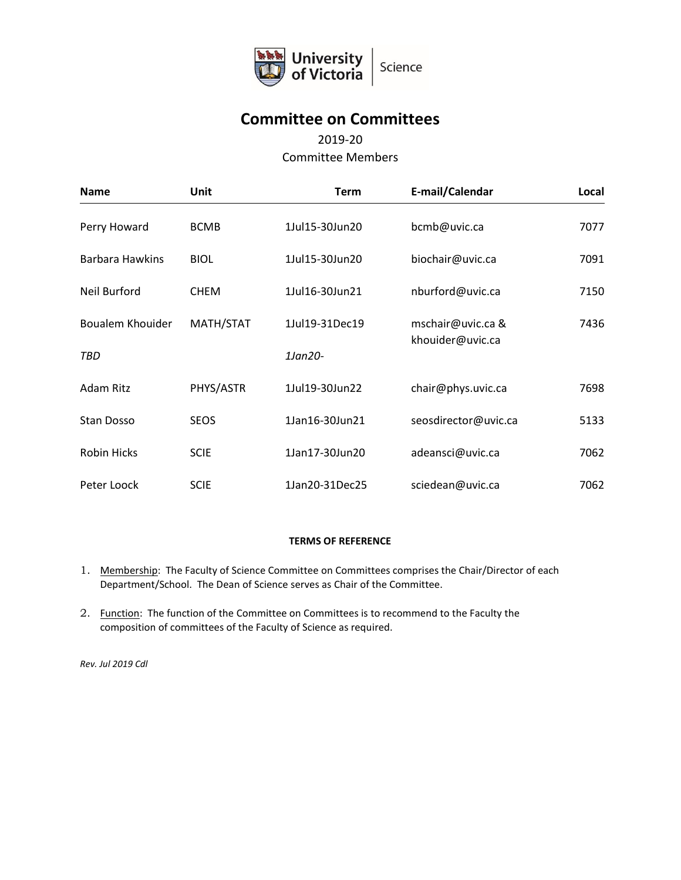

# **Committee on Committees**

# 2019-20

### Committee Members

| <b>Name</b>         | <b>Unit</b> | <b>Term</b>    | E-mail/Calendar                       | Local |
|---------------------|-------------|----------------|---------------------------------------|-------|
| Perry Howard        | <b>BCMB</b> | 1Jul15-30Jun20 | bcmb@uvic.ca                          | 7077  |
| Barbara Hawkins     | <b>BIOL</b> | 1Jul15-30Jun20 | biochair@uvic.ca                      | 7091  |
| <b>Neil Burford</b> | <b>CHEM</b> | 1Jul16-30Jun21 | nburford@uvic.ca                      | 7150  |
| Boualem Khouider    | MATH/STAT   | 1Jul19-31Dec19 | mschair@uvic.ca &<br>khouider@uvic.ca | 7436  |
| TBD                 |             | 1Jan20-        |                                       |       |
| Adam Ritz           | PHYS/ASTR   | 1Jul19-30Jun22 | chair@phys.uvic.ca                    | 7698  |
| Stan Dosso          | <b>SEOS</b> | 1Jan16-30Jun21 | seosdirector@uvic.ca                  | 5133  |
| <b>Robin Hicks</b>  | <b>SCIE</b> | 1Jan17-30Jun20 | adeansci@uvic.ca                      | 7062  |
| Peter Loock         | <b>SCIE</b> | 1Jan20-31Dec25 | sciedean@uvic.ca                      | 7062  |

#### **TERMS OF REFERENCE**

- 1. Membership: The Faculty of Science Committee on Committees comprises the Chair/Director of each Department/School. The Dean of Science serves as Chair of the Committee.
- 2. Function: The function of the Committee on Committees is to recommend to the Faculty the composition of committees of the Faculty of Science as required.

*Rev. Jul 2019 Cdl*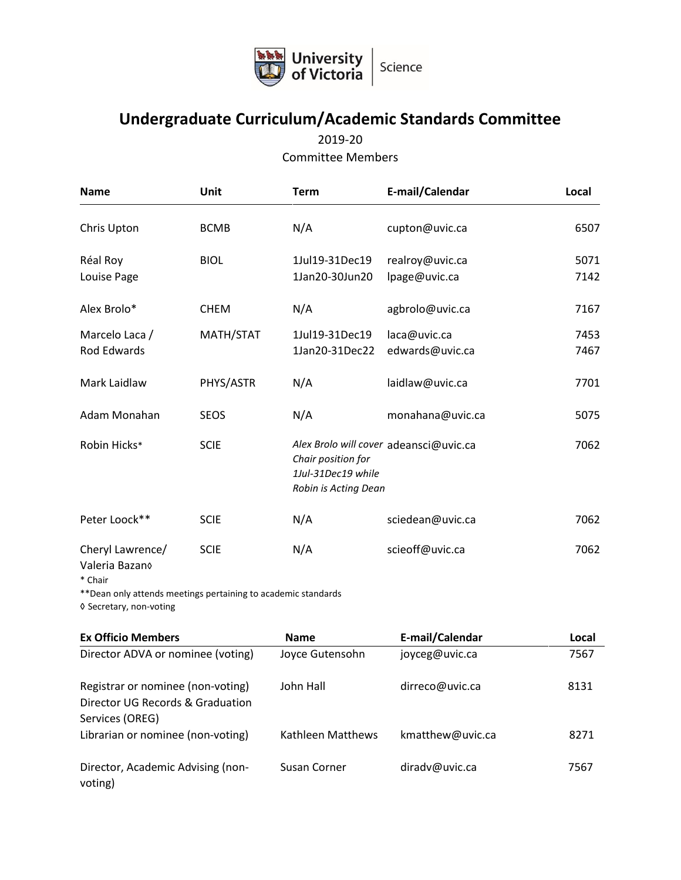

# **Undergraduate Curriculum/Academic Standards Committee**

2019-20 Committee Members

| <b>Name</b>                        | Unit        | <b>Term</b>                                                      | E-mail/Calendar                        | Local        |
|------------------------------------|-------------|------------------------------------------------------------------|----------------------------------------|--------------|
| Chris Upton                        | <b>BCMB</b> | N/A                                                              | cupton@uvic.ca                         | 6507         |
| Réal Roy<br>Louise Page            | <b>BIOL</b> | 1Jul19-31Dec19<br>1Jan20-30Jun20                                 | realroy@uvic.ca<br>lpage@uvic.ca       | 5071<br>7142 |
| Alex Brolo*                        | <b>CHEM</b> | N/A                                                              | agbrolo@uvic.ca                        | 7167         |
| Marcelo Laca /<br>Rod Edwards      | MATH/STAT   | 1Jul19-31Dec19<br>1Jan20-31Dec22                                 | laca@uvic.ca<br>edwards@uvic.ca        | 7453<br>7467 |
| Mark Laidlaw                       | PHYS/ASTR   | N/A                                                              | laidlaw@uvic.ca                        | 7701         |
| Adam Monahan                       | <b>SEOS</b> | N/A                                                              | monahana@uvic.ca                       | 5075         |
| Robin Hicks*                       | <b>SCIE</b> | Chair position for<br>1Jul-31Dec19 while<br>Robin is Acting Dean | Alex Brolo will cover adeansci@uvic.ca | 7062         |
| Peter Loock**                      | <b>SCIE</b> | N/A                                                              | sciedean@uvic.ca                       | 7062         |
| Cheryl Lawrence/<br>Valeria Bazano | <b>SCIE</b> | N/A                                                              | scieoff@uvic.ca                        | 7062         |

<sup>\*</sup> Chair

\*\*Dean only attends meetings pertaining to academic standards

◊ Secretary, non-voting

| <b>Ex Officio Members</b>                                                                | <b>Name</b>       | E-mail/Calendar  | Local |
|------------------------------------------------------------------------------------------|-------------------|------------------|-------|
| Director ADVA or nominee (voting)                                                        | Joyce Gutensohn   | joyceg@uvic.ca   | 7567  |
| Registrar or nominee (non-voting)<br>Director UG Records & Graduation<br>Services (OREG) | John Hall         | dirreco@uvic.ca  | 8131  |
| Librarian or nominee (non-voting)                                                        | Kathleen Matthews | kmatthew@uvic.ca | 8271  |
| Director, Academic Advising (non-<br>voting)                                             | Susan Corner      | diradv@uvic.ca   | 7567  |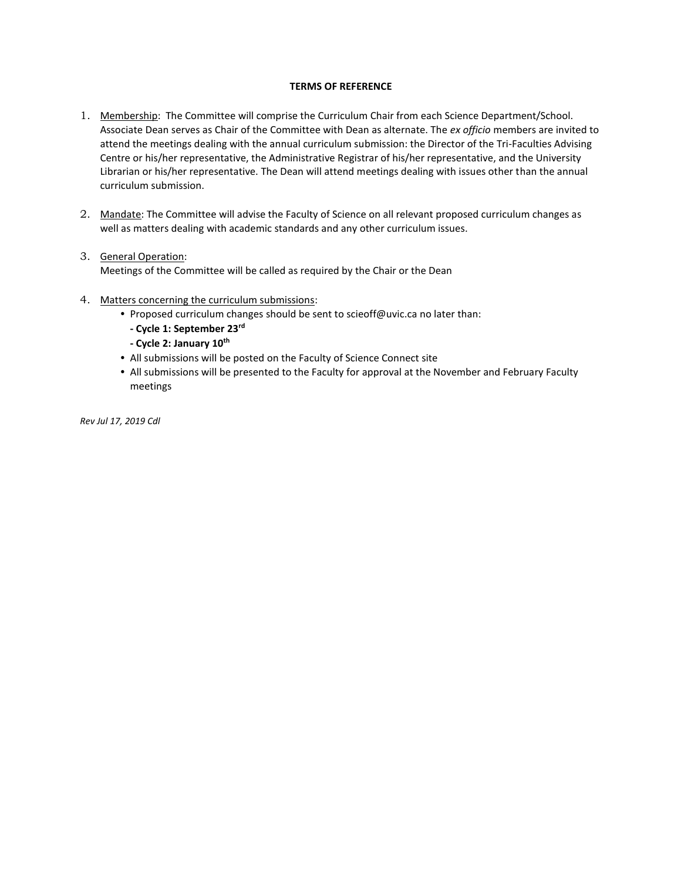#### **TERMS OF REFERENCE**

- 1. Membership: The Committee will comprise the Curriculum Chair from each Science Department/School. Associate Dean serves as Chair of the Committee with Dean as alternate. The *ex officio* members are invited to attend the meetings dealing with the annual curriculum submission: the Director of the Tri-Faculties Advising Centre or his/her representative, the Administrative Registrar of his/her representative, and the University Librarian or his/her representative. The Dean will attend meetings dealing with issues other than the annual curriculum submission.
- 2. Mandate: The Committee will advise the Faculty of Science on all relevant proposed curriculum changes as well as matters dealing with academic standards and any other curriculum issues.

#### 3. General Operation:

Meetings of the Committee will be called as required by the Chair or the Dean

- 4. Matters concerning the curriculum submissions:
	- Proposed curriculum changes should be sent to scieoff@uvic.ca no later than:
		- **- Cycle 1: September 23rd**
		- **- Cycle 2: January 10th**
	- All submissions will be posted on the Faculty of Science Connect site
	- All submissions will be presented to the Faculty for approval at the November and February Faculty meetings

*Rev Jul 17, 2019 Cdl*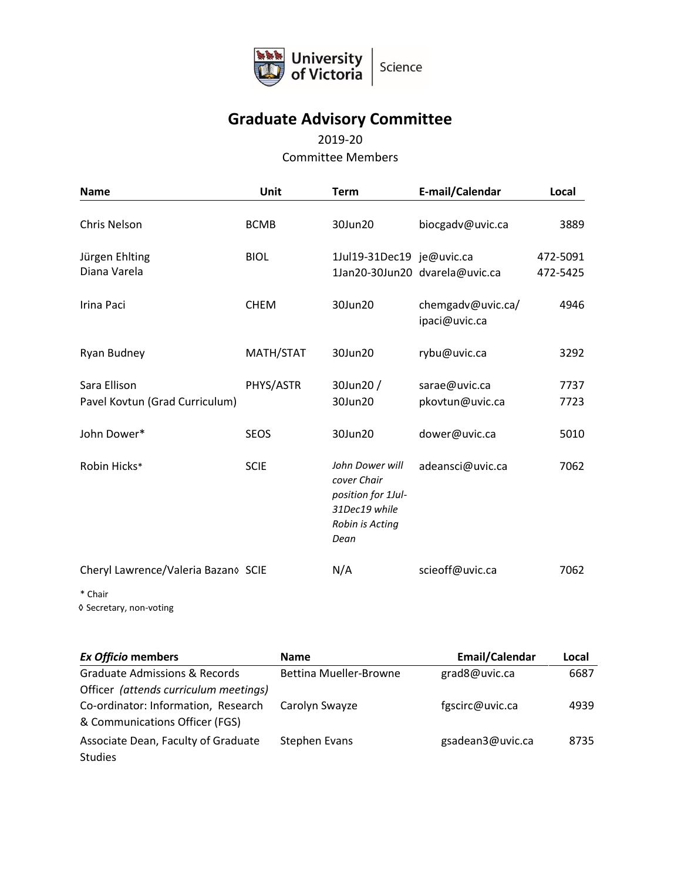

# **Graduate Advisory Committee**

### 2019-20 Committee Members

| <b>Name</b>                                    | Unit        | <b>Term</b>                                                                                      | E-mail/Calendar                    | Local                |
|------------------------------------------------|-------------|--------------------------------------------------------------------------------------------------|------------------------------------|----------------------|
| Chris Nelson                                   | <b>BCMB</b> | 30Jun20                                                                                          | biocgadv@uvic.ca                   | 3889                 |
| Jürgen Ehlting<br>Diana Varela                 | <b>BIOL</b> | 1Jul19-31Dec19 je@uvic.ca                                                                        | 1Jan20-30Jun20 dvarela@uvic.ca     | 472-5091<br>472-5425 |
| Irina Paci                                     | <b>CHEM</b> | 30Jun20                                                                                          | chemgadv@uvic.ca/<br>ipaci@uvic.ca | 4946                 |
| Ryan Budney                                    | MATH/STAT   | 30Jun20                                                                                          | rybu@uvic.ca                       | 3292                 |
| Sara Ellison<br>Pavel Kovtun (Grad Curriculum) | PHYS/ASTR   | 30Jun20 /<br>30Jun20                                                                             | sarae@uvic.ca<br>pkovtun@uvic.ca   | 7737<br>7723         |
| John Dower*                                    | <b>SEOS</b> | 30Jun20                                                                                          | dower@uvic.ca                      | 5010                 |
| Robin Hicks*                                   | <b>SCIE</b> | John Dower will<br>cover Chair<br>position for 1Jul-<br>31Dec19 while<br>Robin is Acting<br>Dean | adeansci@uvic.ca                   | 7062                 |
| Cheryl Lawrence/Valeria Bazano SCIE            |             | N/A                                                                                              | scieoff@uvic.ca                    | 7062                 |
| * Chair                                        |             |                                                                                                  |                                    |                      |

◊ Secretary, non-voting

**Ex Officio members Name Email/Calendar Local** Graduate Admissions & Records Officer *(attends curriculum meetings)* Bettina Mueller-Browne grad8@uvic.ca 6687 Co-ordinator: Information, Research & Communications Officer (FGS) Carolyn Swayze **fgscirc@uvic.ca** 4939 Associate Dean, Faculty of Graduate Studies Stephen Evans **gsadean3@uvic.ca** 8735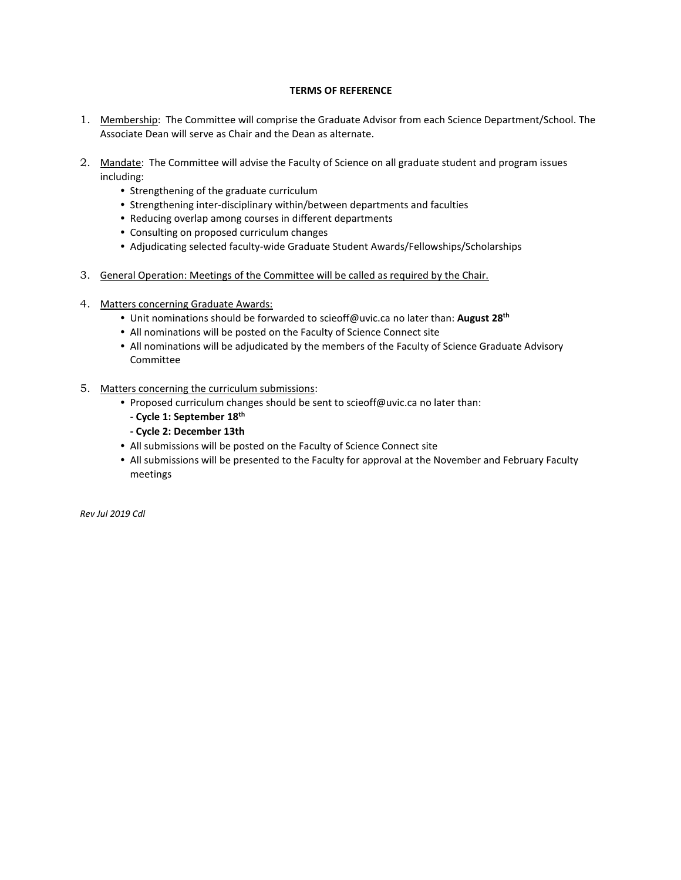#### **TERMS OF REFERENCE**

- 1. Membership: The Committee will comprise the Graduate Advisor from each Science Department/School. The Associate Dean will serve as Chair and the Dean as alternate.
- 2. Mandate: The Committee will advise the Faculty of Science on all graduate student and program issues including:
	- Strengthening of the graduate curriculum
	- Strengthening inter-disciplinary within/between departments and faculties
	- Reducing overlap among courses in different departments
	- Consulting on proposed curriculum changes
	- Adjudicating selected faculty-wide Graduate Student Awards/Fellowships/Scholarships
- 3. General Operation: Meetings of the Committee will be called as required by the Chair.
- 4. Matters concerning Graduate Awards:
	- Unit nominations should be forwarded t[o scieoff@uvic.ca](mailto:scieoff@uvic.ca) no later than: **August 28th**
	- All nominations will be posted on the Faculty of Science Connect site
	- All nominations will be adjudicated by the members of the Faculty of Science Graduate Advisory Committee
- 5. Matters concerning the curriculum submissions:
	- Proposed curriculum changes should be sent to scieoff@uvic.ca no later than:
		- **Cycle 1: September 18th**
		- **- Cycle 2: December 13th**
	- All submissions will be posted on the Faculty of Science Connect site
	- All submissions will be presented to the Faculty for approval at the November and February Faculty meetings

*Rev Jul 2019 Cdl*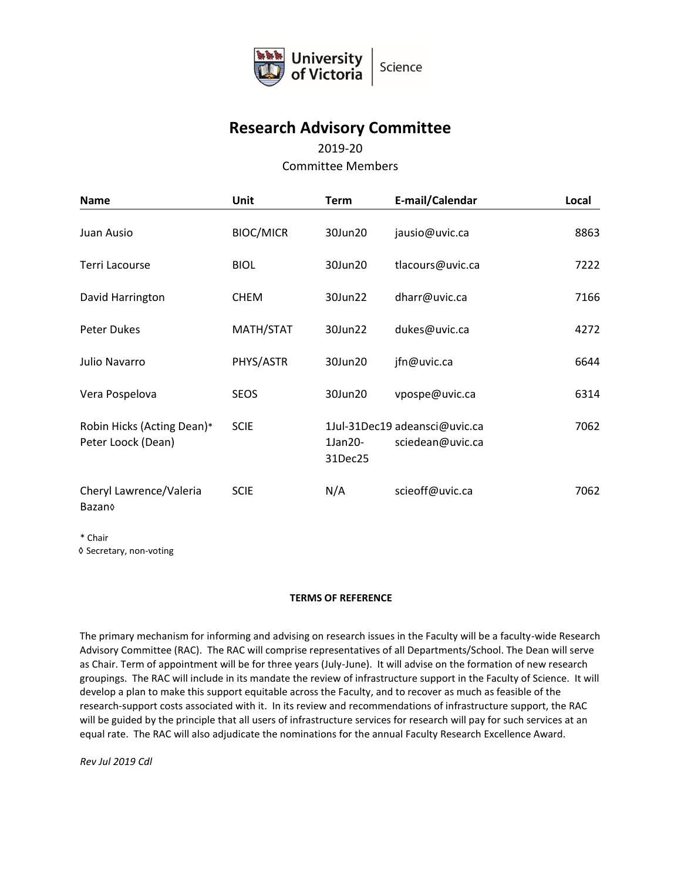

## **Research Advisory Committee**

### 2019-20

### Committee Members

| <b>Name</b>                                      | <b>Unit</b>      | <b>Term</b>        | E-mail/Calendar                                   | Local |
|--------------------------------------------------|------------------|--------------------|---------------------------------------------------|-------|
| Juan Ausio                                       | <b>BIOC/MICR</b> | 30Jun20            | jausio@uvic.ca                                    | 8863  |
| Terri Lacourse                                   | <b>BIOL</b>      | 30Jun20            | tlacours@uvic.ca                                  | 7222  |
| David Harrington                                 | <b>CHEM</b>      | 30Jun22            | dharr@uvic.ca                                     | 7166  |
| <b>Peter Dukes</b>                               | MATH/STAT        | 30Jun22            | dukes@uvic.ca                                     | 4272  |
| Julio Navarro                                    | PHYS/ASTR        | 30Jun20            | jfn@uvic.ca                                       | 6644  |
| Vera Pospelova                                   | <b>SEOS</b>      | 30Jun20            | vpospe@uvic.ca                                    | 6314  |
| Robin Hicks (Acting Dean)*<br>Peter Loock (Dean) | <b>SCIE</b>      | 1Jan20-<br>31Dec25 | 1Jul-31Dec19 adeansci@uvic.ca<br>sciedean@uvic.ca | 7062  |
| Cheryl Lawrence/Valeria<br>Bazano                | <b>SCIE</b>      | N/A                | scieoff@uvic.ca                                   | 7062  |

\* Chair

◊ Secretary, non-voting

#### **TERMS OF REFERENCE**

The primary mechanism for informing and advising on research issues in the Faculty will be a faculty-wide Research Advisory Committee (RAC). The RAC will comprise representatives of all Departments/School. The Dean will serve as Chair. Term of appointment will be for three years (July-June). It will advise on the formation of new research groupings. The RAC will include in its mandate the review of infrastructure support in the Faculty of Science. It will develop a plan to make this support equitable across the Faculty, and to recover as much as feasible of the research-support costs associated with it. In its review and recommendations of infrastructure support, the RAC will be guided by the principle that all users of infrastructure services for research will pay for such services at an equal rate. The RAC will also adjudicate the nominations for the annual Faculty Research Excellence Award.

*Rev Jul 2019 Cdl*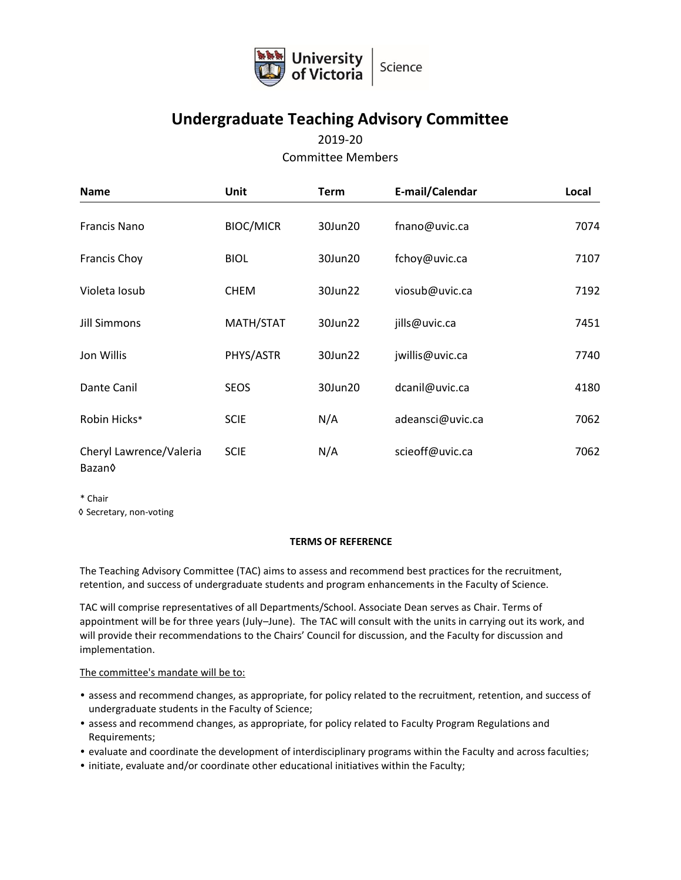

# **Undergraduate Teaching Advisory Committee**

### 2019-20 Committee Members

| <b>Name</b>                                   | <b>Unit</b>      | <b>Term</b> | E-mail/Calendar  | Local |
|-----------------------------------------------|------------------|-------------|------------------|-------|
| <b>Francis Nano</b>                           | <b>BIOC/MICR</b> | 30Jun20     | fnano@uvic.ca    | 7074  |
| <b>Francis Choy</b>                           | <b>BIOL</b>      | 30Jun20     | fchoy@uvic.ca    | 7107  |
| Violeta Iosub                                 | <b>CHEM</b>      | 30Jun22     | viosub@uvic.ca   | 7192  |
| <b>Jill Simmons</b>                           | MATH/STAT        | 30Jun22     | jills@uvic.ca    | 7451  |
| Jon Willis                                    | PHYS/ASTR        | 30Jun22     | jwillis@uvic.ca  | 7740  |
| Dante Canil                                   | <b>SEOS</b>      | 30Jun20     | dcanil@uvic.ca   | 4180  |
| Robin Hicks*                                  | <b>SCIE</b>      | N/A         | adeansci@uvic.ca | 7062  |
| Cheryl Lawrence/Valeria<br>Bazan <sub>0</sub> | <b>SCIE</b>      | N/A         | scieoff@uvic.ca  | 7062  |

\* Chair

◊ Secretary, non-voting

#### **TERMS OF REFERENCE**

The Teaching Advisory Committee (TAC) aims to assess and recommend best practices for the recruitment, retention, and success of undergraduate students and program enhancements in the Faculty of Science.

TAC will comprise representatives of all Departments/School. Associate Dean serves as Chair. Terms of appointment will be for three years (July–June). The TAC will consult with the units in carrying out its work, and will provide their recommendations to the Chairs' Council for discussion, and the Faculty for discussion and implementation.

The committee's mandate will be to:

- assess and recommend changes, as appropriate, for policy related to the recruitment, retention, and success of undergraduate students in the Faculty of Science;
- assess and recommend changes, as appropriate, for policy related to Faculty Program Regulations and Requirements;
- evaluate and coordinate the development of interdisciplinary programs within the Faculty and across faculties;
- initiate, evaluate and/or coordinate other educational initiatives within the Faculty;